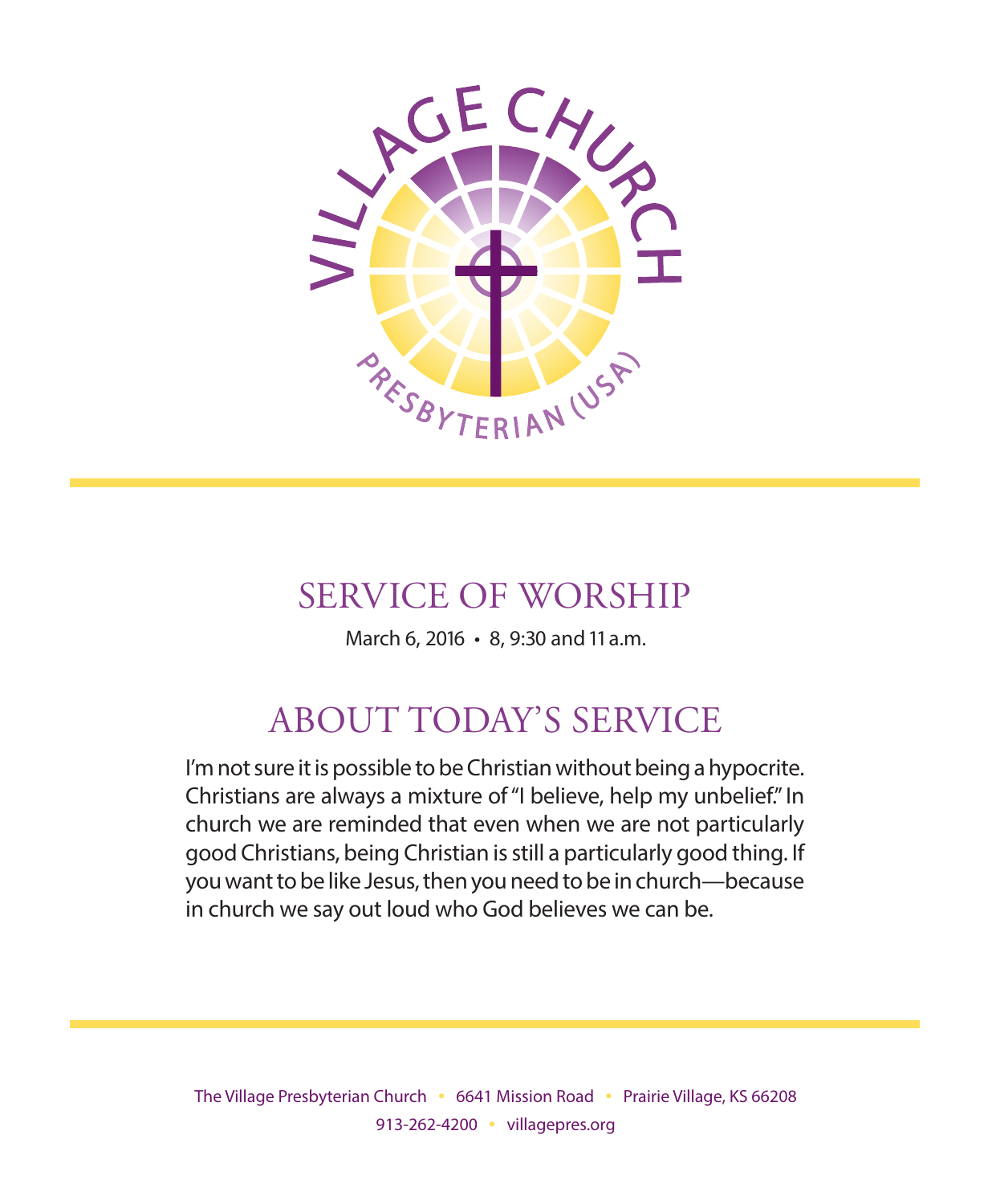

## SERVICE OF WORSHIP

March 6, 2016 • 8, 9:30 and 11 a.m.

# ABOUT TODAY'S SERVICE

I'm not sure it is possible to be Christian without being a hypocrite. Christians are always a mixture of "I believe, help my unbelief." In church we are reminded that even when we are not particularly good Christians, being Christian is still a particularly good thing. If you want to be like Jesus, then you need to be in church—because in church we say out loud who God believes we can be.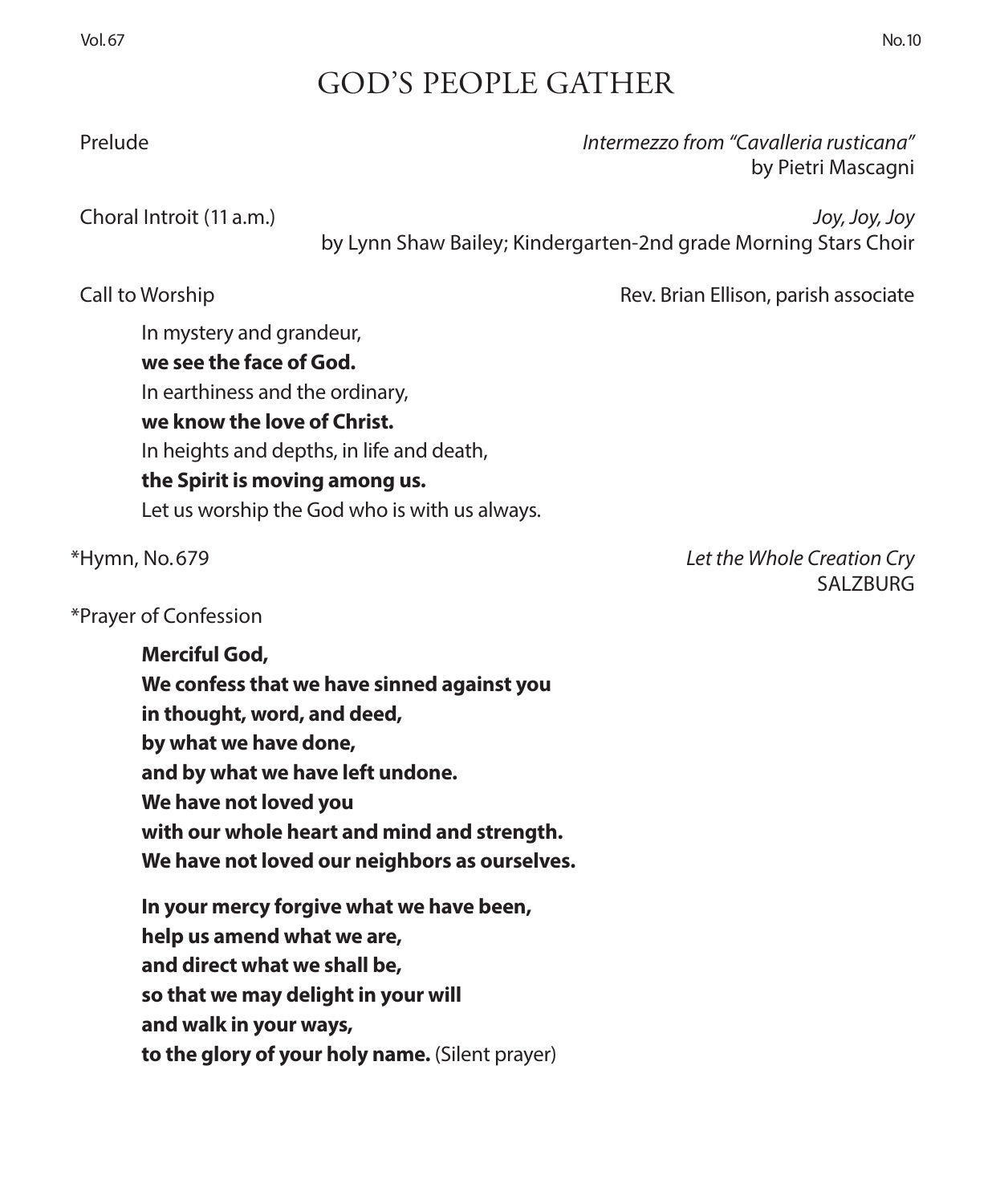## GOD'S PEOPLE GATHER

Prelude *Intermezzo from "Cavalleria rusticana"*

 Choral Introit (11 a.m.) *Joy, Joy, Joy* by Lynn Shaw Bailey; Kindergarten-2nd grade Morning Stars Choir

Call to Worship Rev. Brian Ellison, parish associate

by Pietri Mascagni

In mystery and grandeur, **we see the face of God.** In earthiness and the ordinary, **we know the love of Christ.** In heights and depths, in life and death, **the Spirit is moving among us.** Let us worship the God who is with us always.

### \*Prayer of Confession

**Merciful God, We confess that we have sinned against you in thought, word, and deed, by what we have done, and by what we have left undone. We have not loved you with our whole heart and mind and strength. We have not loved our neighbors as ourselves.**

**In your mercy forgive what we have been, help us amend what we are, and direct what we shall be, so that we may delight in your will and walk in your ways, to the glory of your holy name.** (Silent prayer)

\*Hymn, No. 679 *Let the Whole Creation Cry*  SALZBURG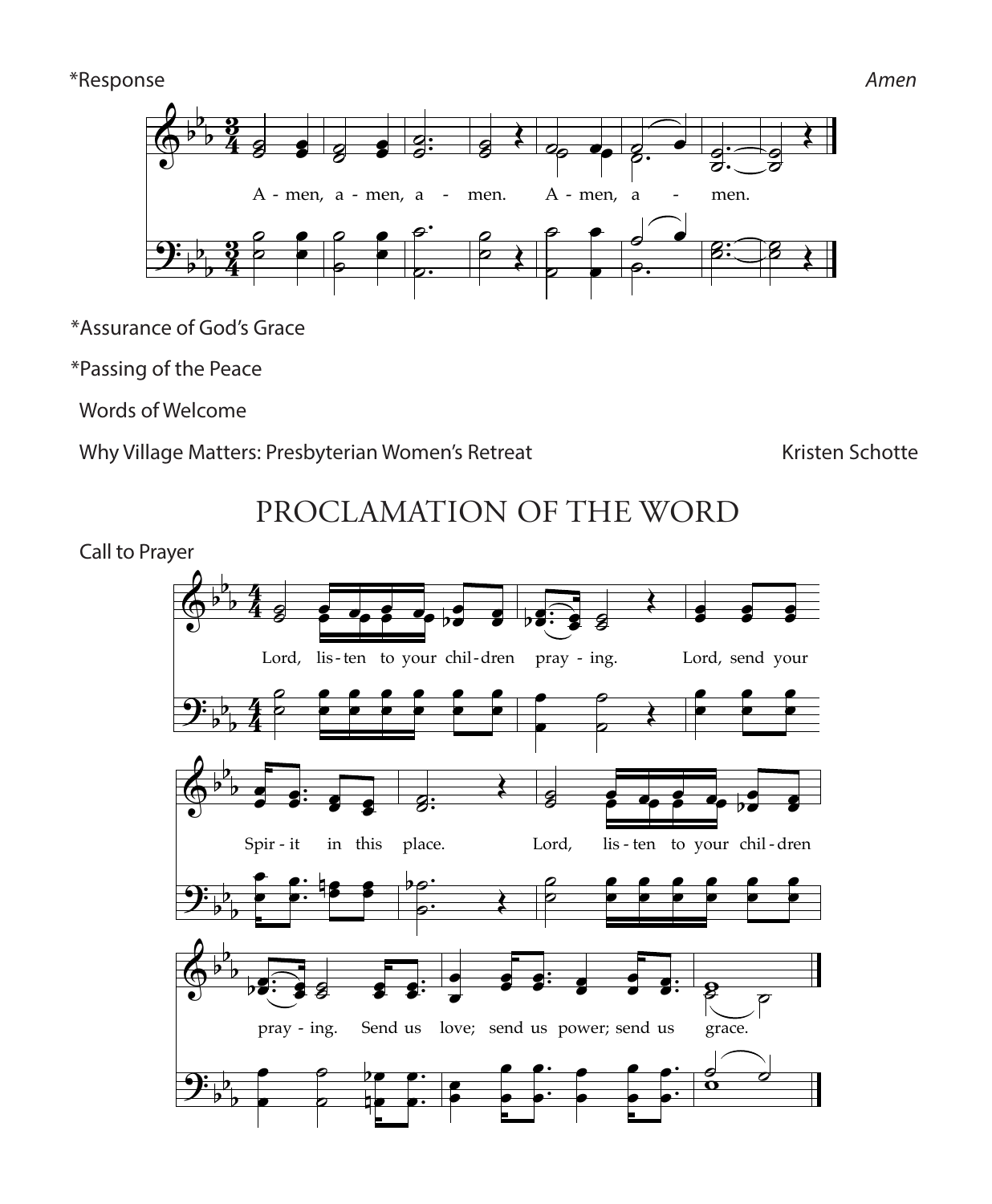#### \*Response *Amen*



\*Assurance of God's Grace of God's Grace  $^{\circ}$ ˙

\*Passing of the Peace *Music Adapt. © 1985, 1989 GIA Publications, Inc.*  In ˙ he Pe ˙  $\epsilon$ 

Words of Welcome

Why Village Matters: Presbyterian Women's Retreat **Kristen Schotte** Kristen Schotte<br>Kristen Schotte

PROCLAMATION OF THE WORD<br>ver PROCLAMATION OF THE WORD  $\overline{1}$ Œ

 Call to Prayer & b  $\mathbf{r}$ 

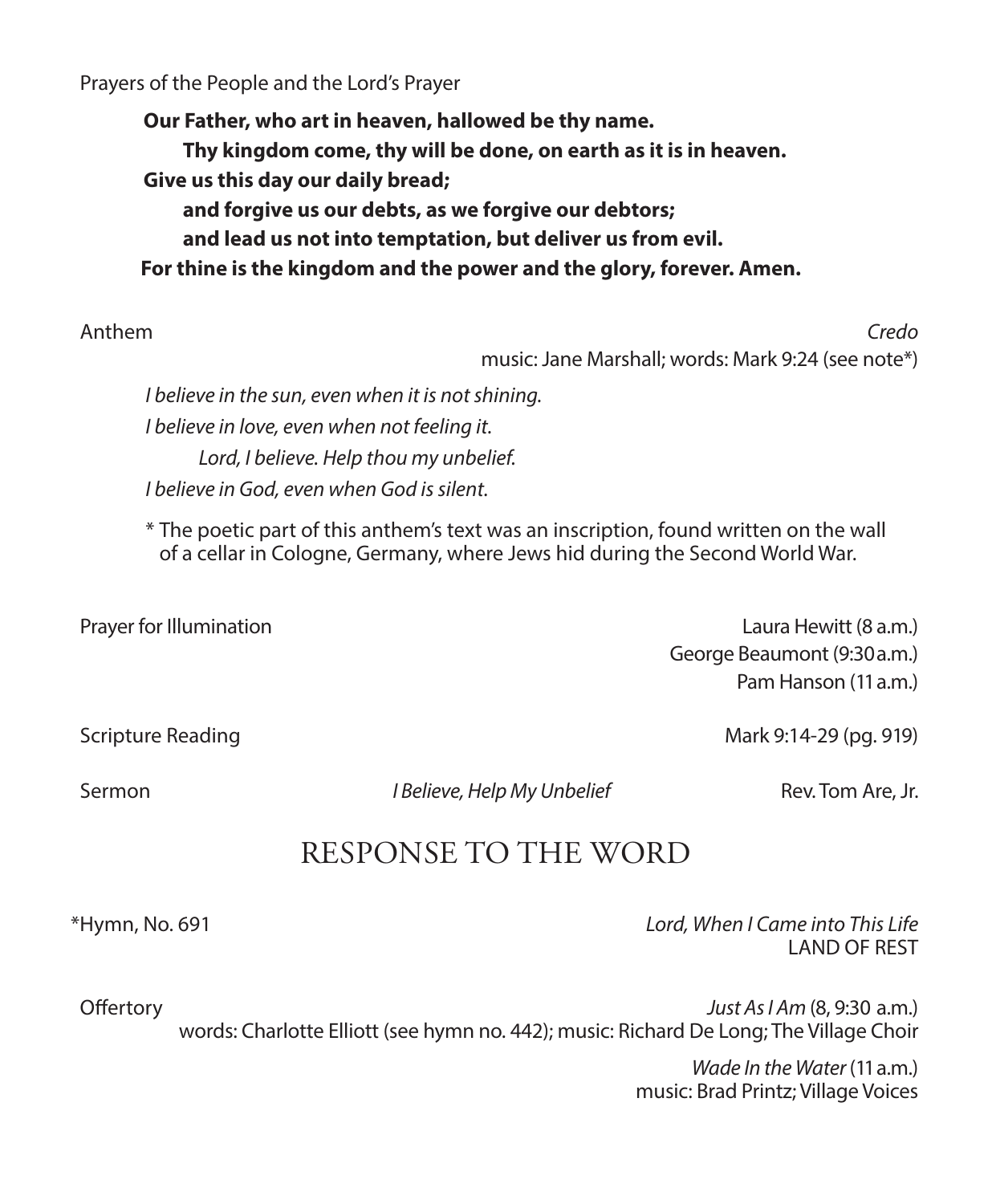Prayers of the People and the Lord's Prayer

**Our Father, who art in heaven, hallowed be thy name. Thy kingdom come, thy will be done, on earth as it is in heaven. Give us this day our daily bread; and forgive us our debts, as we forgive our debtors; and lead us not into temptation, but deliver us from evil. For thine is the kingdom and the power and the glory, forever. Amen.**

 Anthem *Credo*  music: Jane Marshall; words: Mark 9:24 (see note\*) *I believe in the sun, even when it is not shining.* 

*I believe in love, even when not feeling it. Lord, I believe. Help thou my unbelief. I believe in God, even when God is silent.* 

\* The poetic part of this anthem's text was an inscription, found written on the wall of a cellar in Cologne, Germany, where Jews hid during the Second World War.

Prayer for Illumination **Laura Hewitt** (8 a.m.) George Beaumont (9:30 a.m.) Pam Hanson (11 a.m.)

Scripture Reading Mark 9:14-29 (pg. 919)

Sermon *I Believe, Help My Unbelief* Rev. Tom Are, Jr.

## RESPONSE TO THE WORD

\*Hymn, No. 691 *Lord, When I Came into This Life*  LAND OF REST

 Offertory *Just As I Am* (8, 9:30 a.m.) words: Charlotte Elliott (see hymn no. 442); music: Richard De Long; The Village Choir

> *Wade In the Water* (11 a.m.) music: Brad Printz; Village Voices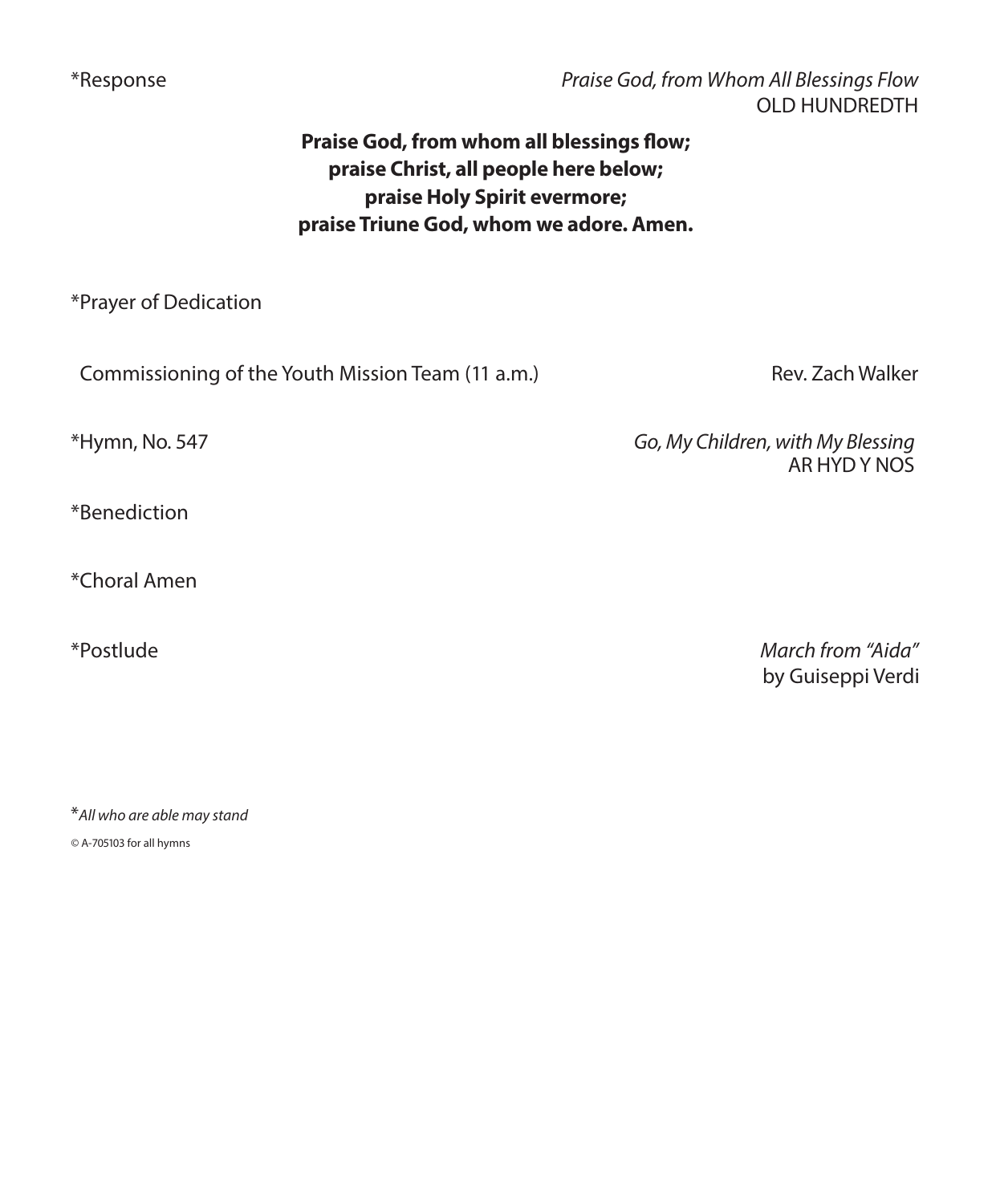\*Response *Praise God, from Whom All Blessings Flow*  OLD HUNDREDTH

### **Praise God, from whom all blessings flow; praise Christ, all people here below; praise Holy Spirit evermore; praise Triune God, whom we adore. Amen.**

\*Prayer of Dedication

Commissioning of the Youth Mission Team (11 a.m.) Rev. Zach Walker

\*Hymn, No. 547 *Go, My Children, with My Blessing*  AR HYD Y NOS

\*Benediction

\*Choral Amen

\*Postlude *March from "Aida"* by Guiseppi Verdi

\**All who are able may stand*

*©* A-705103 for all hymns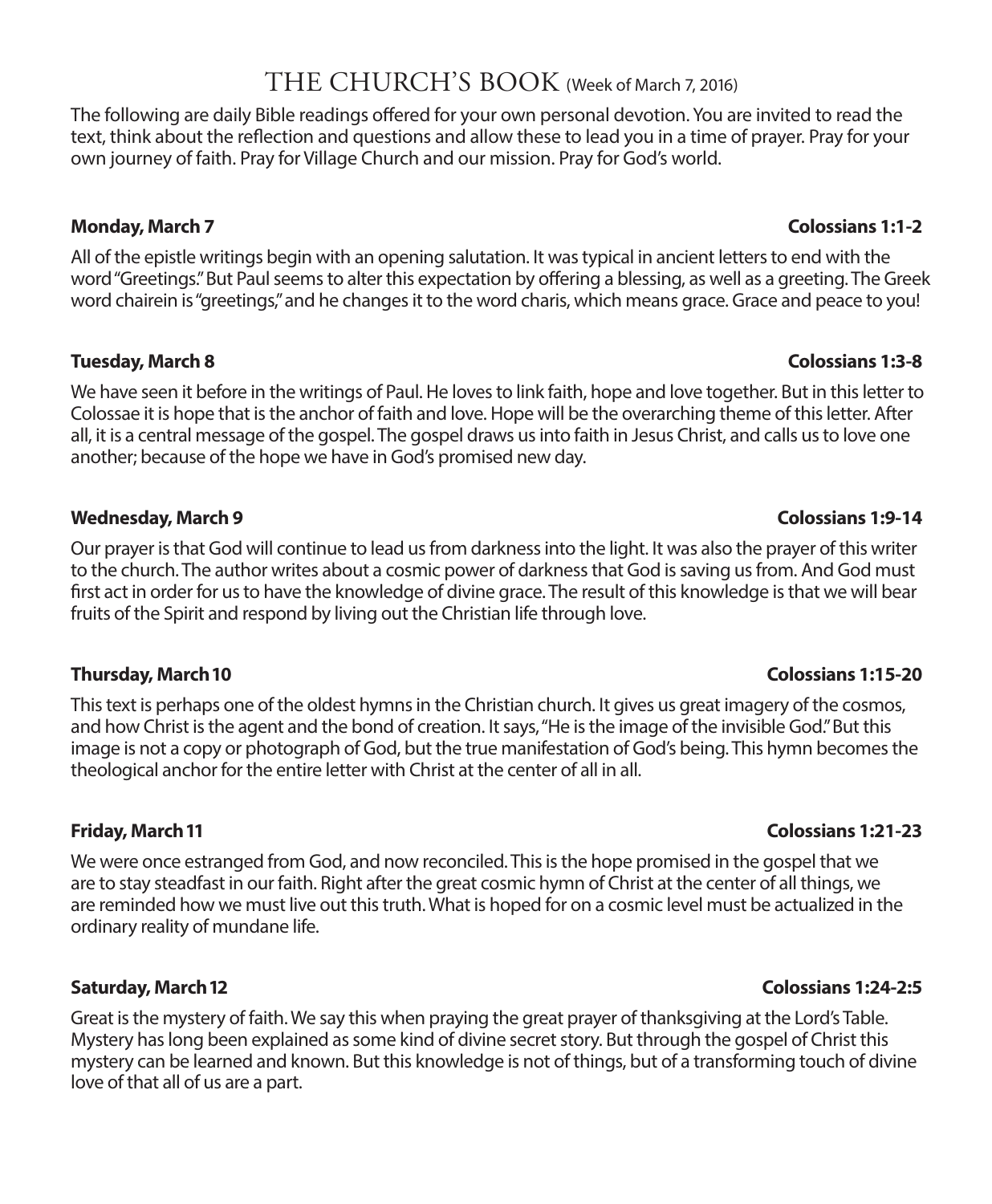## THE CHURCH'S BOOK (Week of March 7, 2016)

The following are daily Bible readings offered for your own personal devotion. You are invited to read the text, think about the reflection and questions and allow these to lead you in a time of prayer. Pray for your own journey of faith. Pray for Village Church and our mission. Pray for God's world.

#### **Monday, March 7 Colossians 1:1-2**

All of the epistle writings begin with an opening salutation. It was typical in ancient letters to end with the word "Greetings." But Paul seems to alter this expectation by offering a blessing, as well as a greeting. The Greek word chairein is "greetings," and he changes it to the word charis, which means grace. Grace and peace to you!

#### **Tuesday, March 8 Colossians 1:3-8**

We have seen it before in the writings of Paul. He loves to link faith, hope and love together. But in this letter to Colossae it is hope that is the anchor of faith and love. Hope will be the overarching theme of this letter. After all, it is a central message of the gospel. The gospel draws us into faith in Jesus Christ, and calls us to love one another; because of the hope we have in God's promised new day.

#### **Wednesday, March 9 Colossians 1:9-14**

Our prayer is that God will continue to lead us from darkness into the light. It was also the prayer of this writer to the church. The author writes about a cosmic power of darkness that God is saving us from. And God must first act in order for us to have the knowledge of divine grace. The result of this knowledge is that we will bear fruits of the Spirit and respond by living out the Christian life through love.

#### **Thursday, March 10 Colossians 1:15-20**

This text is perhaps one of the oldest hymns in the Christian church. It gives us great imagery of the cosmos, and how Christ is the agent and the bond of creation. It says, "He is the image of the invisible God." But this image is not a copy or photograph of God, but the true manifestation of God's being. This hymn becomes the theological anchor for the entire letter with Christ at the center of all in all.

We were once estranged from God, and now reconciled. This is the hope promised in the gospel that we are to stay steadfast in our faith. Right after the great cosmic hymn of Christ at the center of all things, we are reminded how we must live out this truth. What is hoped for on a cosmic level must be actualized in the ordinary reality of mundane life.

Great is the mystery of faith. We say this when praying the great prayer of thanksgiving at the Lord's Table. Mystery has long been explained as some kind of divine secret story. But through the gospel of Christ this mystery can be learned and known. But this knowledge is not of things, but of a transforming touch of divine love of that all of us are a part.

#### **Friday, March 11 Colossians 1:21-23**

#### **Saturday, March 12 Colossians 1:24-2:5**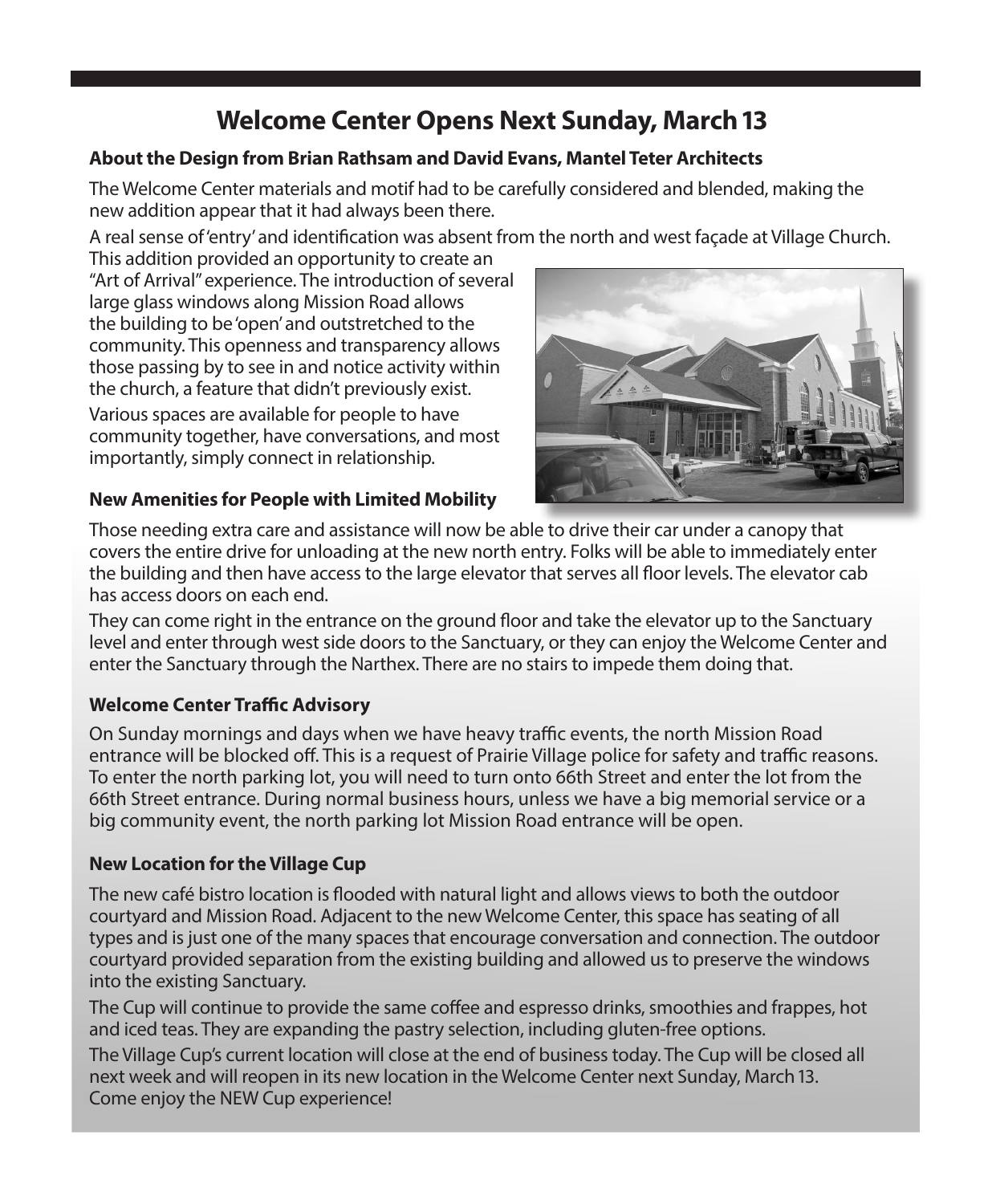## **Welcome Center Opens Next Sunday, March 13**

### **About the Design from Brian Rathsam and David Evans, Mantel Teter Architects**

The Welcome Center materials and motif had to be carefully considered and blended, making the new addition appear that it had always been there.

A real sense of 'entry' and identification was absent from the north and west façade at Village Church.

This addition provided an opportunity to create an "Art of Arrival" experience. The introduction of several large glass windows along Mission Road allows the building to be 'open' and outstretched to the community. This openness and transparency allows those passing by to see in and notice activity within the church, a feature that didn't previously exist. Various spaces are available for people to have community together, have conversations, and most importantly, simply connect in relationship.



#### **New Amenities for People with Limited Mobility**

Those needing extra care and assistance will now be able to drive their car under a canopy that covers the entire drive for unloading at the new north entry. Folks will be able to immediately enter the building and then have access to the large elevator that serves all floor levels. The elevator cab has access doors on each end.

They can come right in the entrance on the ground floor and take the elevator up to the Sanctuary level and enter through west side doors to the Sanctuary, or they can enjoy the Welcome Center and enter the Sanctuary through the Narthex. There are no stairs to impede them doing that.

### **Welcome Center Traffic Advisory**

On Sunday mornings and days when we have heavy traffic events, the north Mission Road entrance will be blocked off. This is a request of Prairie Village police for safety and traffic reasons. To enter the north parking lot, you will need to turn onto 66th Street and enter the lot from the 66th Street entrance. During normal business hours, unless we have a big memorial service or a big community event, the north parking lot Mission Road entrance will be open.

### **New Location for the Village Cup**

The new café bistro location is flooded with natural light and allows views to both the outdoor courtyard and Mission Road. Adjacent to the new Welcome Center, this space has seating of all types and is just one of the many spaces that encourage conversation and connection. The outdoor courtyard provided separation from the existing building and allowed us to preserve the windows into the existing Sanctuary.

The Cup will continue to provide the same coffee and espresso drinks, smoothies and frappes, hot and iced teas. They are expanding the pastry selection, including gluten-free options.

The Village Cup's current location will close at the end of business today. The Cup will be closed all next week and will reopen in its new location in the Welcome Center next Sunday, March 13. Come enjoy the NEW Cup experience!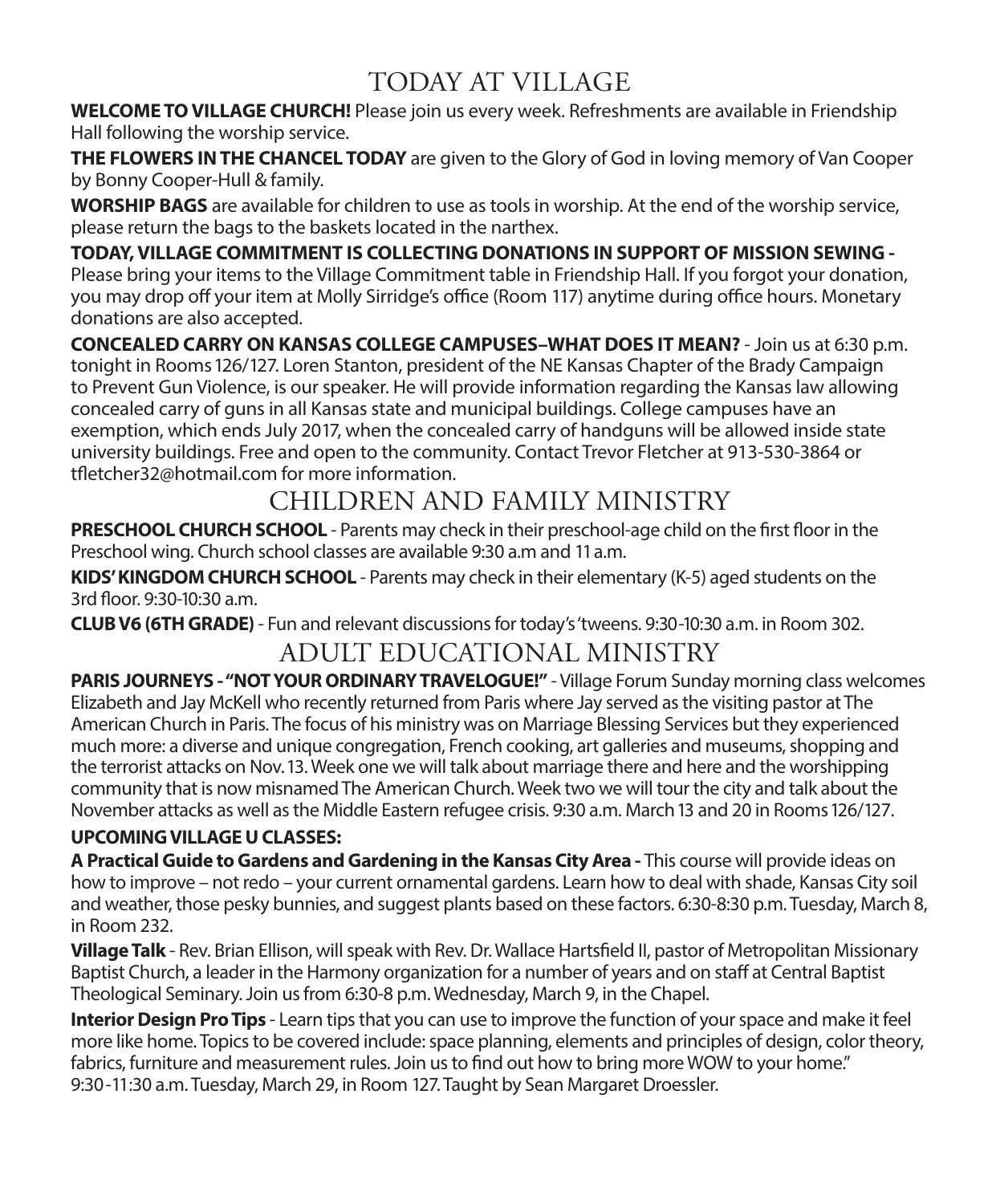## TODAY AT VILLAGE

**WELCOME TO VILLAGE CHURCH!** Please join us every week. Refreshments are available in Friendship Hall following the worship service.

**THE FLOWERS IN THE CHANCEL TODAY** are given to the Glory of God in loving memory of Van Cooper by Bonny Cooper-Hull & family.

**WORSHIP BAGS** are available for children to use as tools in worship. At the end of the worship service, please return the bags to the baskets located in the narthex.

**TODAY, VILLAGE COMMITMENT IS COLLECTING DONATIONS IN SUPPORT OF MISSION SEWING -**  Please bring your items to the Village Commitment table in Friendship Hall. If you forgot your donation, you may drop off your item at Molly Sirridge's office (Room 117) anytime during office hours. Monetary donations are also accepted.

**CONCEALED CARRY ON KANSAS COLLEGE CAMPUSES–WHAT DOES IT MEAN?** - Join us at 6:30 p.m. tonight in Rooms 126/127. Loren Stanton, president of the NE Kansas Chapter of the Brady Campaign to Prevent Gun Violence, is our speaker. He will provide information regarding the Kansas law allowing concealed carry of guns in all Kansas state and municipal buildings. College campuses have an exemption, which ends July 2017, when the concealed carry of handguns will be allowed inside state university buildings. Free and open to the community. Contact Trevor Fletcher at 913-530-3864 or tfletcher32@hotmail.com for more information.

## CHILDREN AND FAMILY MINISTRY

**PRESCHOOL CHURCH SCHOOL** - Parents may check in their preschool-age child on the first floor in the Preschool wing. Church school classes are available 9:30 a.m and 11 a.m.

**KIDS' KINGDOM CHURCH SCHOOL** - Parents may check in their elementary (K-5) aged students on the 3rd floor. 9:30-10:30 a.m.

**CLUB V6 (6TH GRADE)** - Fun and relevant discussions for today's 'tweens. 9:30-10:30 a.m. in Room 302.

## ADULT EDUCATIONAL MINISTRY

**PARIS JOURNEYS - "NOT YOUR ORDINARY TRAVELOGUE!"** - Village Forum Sunday morning class welcomes Elizabeth and Jay McKell who recently returned from Paris where Jay served as the visiting pastor at The American Church in Paris. The focus of his ministry was on Marriage Blessing Services but they experienced much more: a diverse and unique congregation, French cooking, art galleries and museums, shopping and the terrorist attacks on Nov. 13. Week one we will talk about marriage there and here and the worshipping community that is now misnamed The American Church. Week two we will tour the city and talk about the November attacks as well as the Middle Eastern refugee crisis. 9:30 a.m. March 13 and 20 in Rooms 126/127.

### **UPCOMING VILLAGE U CLASSES:**

**A Practical Guide to Gardens and Gardening in the Kansas City Area -** This course will provide ideas on how to improve – not redo – your current ornamental gardens. Learn how to deal with shade, Kansas City soil and weather, those pesky bunnies, and suggest plants based on these factors. 6:30-8:30 p.m. Tuesday, March 8, in Room 232.

**Village Talk** - Rev. Brian Ellison, will speak with Rev. Dr. Wallace Hartsfield II, pastor of Metropolitan Missionary Baptist Church, a leader in the Harmony organization for a number of years and on staff at Central Baptist Theological Seminary. Join us from 6:30-8 p.m. Wednesday, March 9, in the Chapel.

**Interior Design Pro Tips** - Learn tips that you can use to improve the function of your space and make it feel more like home. Topics to be covered include: space planning, elements and principles of design, color theory, fabrics, furniture and measurement rules. Join us to find out how to bring more WOW to your home." 9:30-11:30 a.m. Tuesday, March 29, in Room 127. Taught by Sean Margaret Droessler.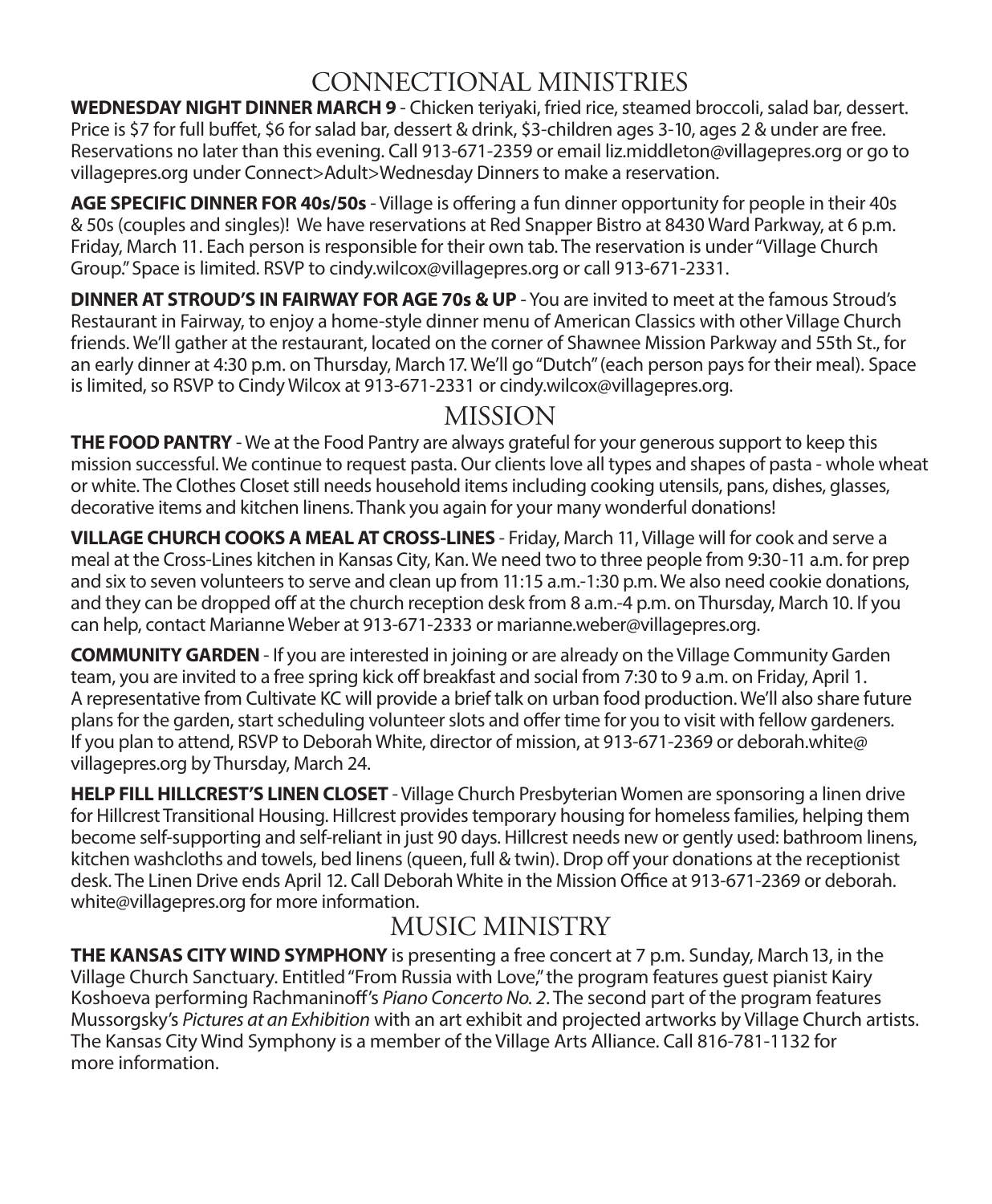## CONNECTIONAL MINISTRIES

**WEDNESDAY NIGHT DINNER MARCH 9** - Chicken teriyaki, fried rice, steamed broccoli, salad bar, dessert. Price is \$7 for full buffet, \$6 for salad bar, dessert & drink, \$3-children ages 3-10, ages 2 & under are free. Reservations no later than this evening. Call 913-671-2359 or email liz.middleton@villagepres.org or go to villagepres.org under Connect>Adult>Wednesday Dinners to make a reservation.

**AGE SPECIFIC DINNER FOR 40s/50s** - Village is offering a fun dinner opportunity for people in their 40s & 50s (couples and singles)! We have reservations at Red Snapper Bistro at 8430 Ward Parkway, at 6 p.m. Friday, March 11. Each person is responsible for their own tab. The reservation is under "Village Church Group." Space is limited. RSVP to cindy.wilcox@villagepres.org or call 913-671-2331.

**DINNER AT STROUD'S IN FAIRWAY FOR AGE 70s & UP** - You are invited to meet at the famous Stroud's Restaurant in Fairway, to enjoy a home-style dinner menu of American Classics with other Village Church friends. We'll gather at the restaurant, located on the corner of Shawnee Mission Parkway and 55th St., for an early dinner at 4:30 p.m. on Thursday, March 17. We'll go "Dutch" (each person pays for their meal). Space is limited, so RSVP to Cindy Wilcox at 913-671-2331 or cindy.wilcox@villagepres.org.

## MISSION

**THE FOOD PANTRY** - We at the Food Pantry are always grateful for your generous support to keep this mission successful. We continue to request pasta. Our clients love all types and shapes of pasta - whole wheat or white. The Clothes Closet still needs household items including cooking utensils, pans, dishes, glasses, decorative items and kitchen linens. Thank you again for your many wonderful donations!

**VILLAGE CHURCH COOKS A MEAL AT CROSS-LINES** - Friday, March 11, Village will for cook and serve a meal at the Cross-Lines kitchen in Kansas City, Kan. We need two to three people from 9:30-11 a.m. for prep and six to seven volunteers to serve and clean up from 11:15 a.m.-1:30 p.m. We also need cookie donations, and they can be dropped off at the church reception desk from 8 a.m.-4 p.m. on Thursday, March 10. If you can help, contact Marianne Weber at 913-671-2333 or marianne.weber@villagepres.org.

**COMMUNITY GARDEN** - If you are interested in joining or are already on the Village Community Garden team, you are invited to a free spring kick off breakfast and social from 7:30 to 9 a.m. on Friday, April 1. A representative from Cultivate KC will provide a brief talk on urban food production. We'll also share future plans for the garden, start scheduling volunteer slots and offer time for you to visit with fellow gardeners. If you plan to attend, RSVP to Deborah White, director of mission, at 913-671-2369 or deborah.white@ villagepres.org by Thursday, March 24.

**HELP FILL HILLCREST'S LINEN CLOSET** - Village Church Presbyterian Women are sponsoring a linen drive for Hillcrest Transitional Housing. Hillcrest provides temporary housing for homeless families, helping them become self-supporting and self-reliant in just 90 days. Hillcrest needs new or gently used: bathroom linens, kitchen washcloths and towels, bed linens (queen, full & twin). Drop off your donations at the receptionist desk. The Linen Drive ends April 12. Call Deborah White in the Mission Office at 913-671-2369 or deborah. white@villagepres.org for more information.

## MUSIC MINISTRY

**THE KANSAS CITY WIND SYMPHONY** is presenting a free concert at 7 p.m. Sunday, March 13, in the Village Church Sanctuary. Entitled "From Russia with Love," the program features guest pianist Kairy Koshoeva performing Rachmaninoff's *Piano Concerto No. 2*. The second part of the program features Mussorgsky's *Pictures at an Exhibition* with an art exhibit and projected artworks by Village Church artists. The Kansas City Wind Symphony is a member of the Village Arts Alliance. Call 816-781-1132 for more information.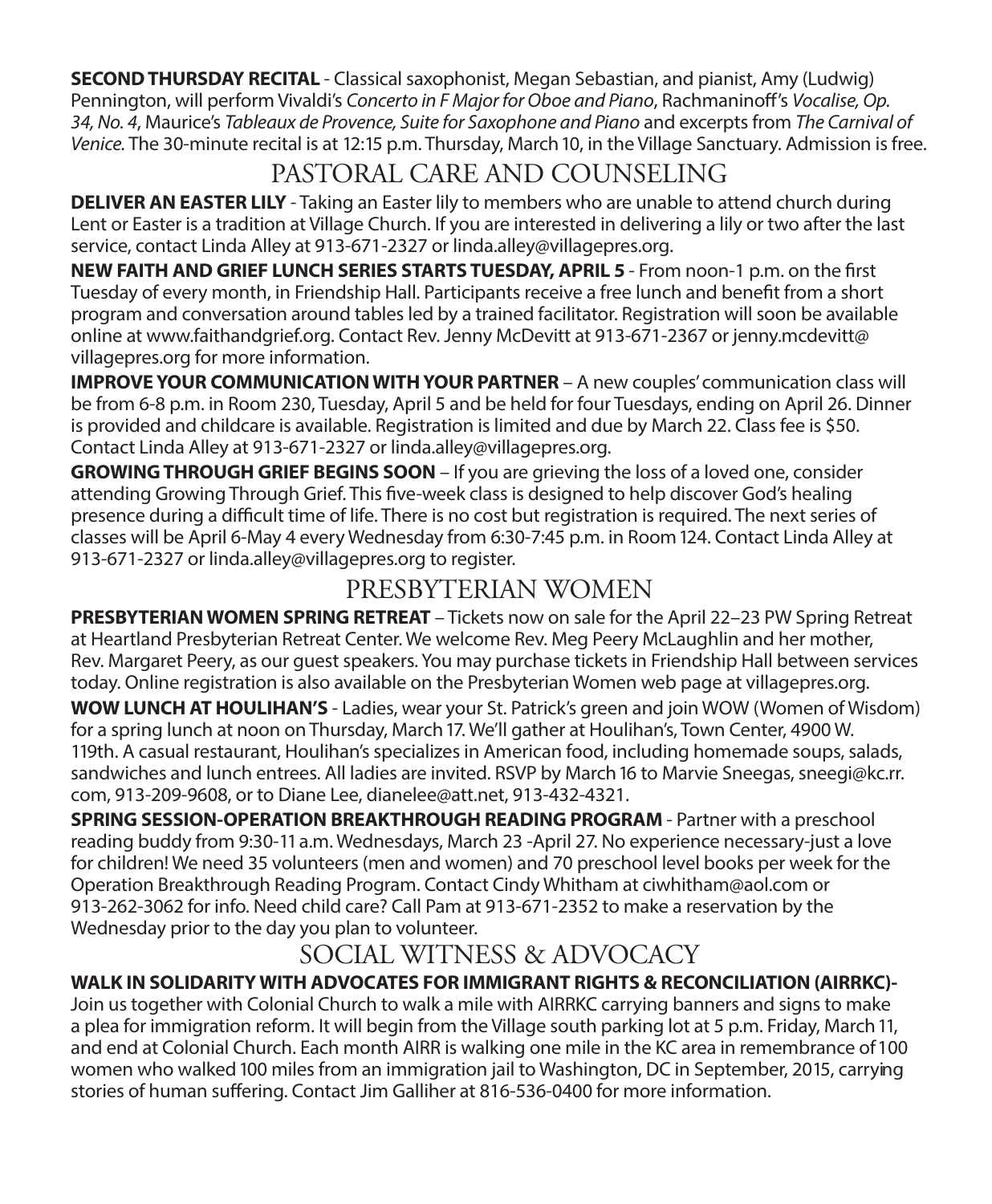**SECOND THURSDAY RECITAL** - Classical saxophonist, Megan Sebastian, and pianist, Amy (Ludwig) Pennington, will perform Vivaldi's *Concerto in F Major for Oboe and Piano*, Rachmaninoff's *Vocalise, Op. 34, No. 4*, Maurice's *Tableaux de Provence, Suite for Saxophone and Piano* and excerpts from *The Carnival of Venice.* The 30-minute recital is at 12:15 p.m. Thursday, March 10, in the Village Sanctuary. Admission is free.

## PASTORAL CARE AND COUNSELING

**DELIVER AN EASTER LILY** - Taking an Easter lily to members who are unable to attend church during Lent or Easter is a tradition at Village Church. If you are interested in delivering a lily or two after the last service, contact Linda Alley at 913-671-2327 or linda.alley@villagepres.org.

**NEW FAITH AND GRIEF LUNCH SERIES STARTS TUESDAY, APRIL 5** - From noon-1 p.m. on the first Tuesday of every month, in Friendship Hall. Participants receive a free lunch and benefit from a short program and conversation around tables led by a trained facilitator. Registration will soon be available online at www.faithandgrief.org. Contact Rev. Jenny McDevitt at 913-671-2367 or jenny.mcdevitt@ villagepres.org for more information.

**IMPROVE YOUR COMMUNICATION WITH YOUR PARTNER** – A new couples' communication class will be from 6-8 p.m. in Room 230, Tuesday, April 5 and be held for four Tuesdays, ending on April 26. Dinner is provided and childcare is available. Registration is limited and due by March 22. Class fee is \$50. Contact Linda Alley at 913-671-2327 or linda.alley@villagepres.org.

**GROWING THROUGH GRIEF BEGINS SOON** – If you are grieving the loss of a loved one, consider attending Growing Through Grief. This five-week class is designed to help discover God's healing presence during a difficult time of life. There is no cost but registration is required. The next series of classes will be April 6-May 4 every Wednesday from 6:30-7:45 p.m. in Room 124. Contact Linda Alley at 913-671-2327 or linda.alley@villagepres.org to register.

## PRESBYTERIAN WOMEN

**PRESBYTERIAN WOMEN SPRING RETREAT** – Tickets now on sale for the April 22–23 PW Spring Retreat at Heartland Presbyterian Retreat Center. We welcome Rev. Meg Peery McLaughlin and her mother, Rev. Margaret Peery, as our guest speakers. You may purchase tickets in Friendship Hall between services today. Online registration is also available on the Presbyterian Women web page at villagepres.org.

**WOW LUNCH AT HOULIHAN'S** - Ladies, wear your St. Patrick's green and join WOW (Women of Wisdom) for a spring lunch at noon on Thursday, March 17. We'll gather at Houlihan's, Town Center, 4900 W. 119th. A casual restaurant, Houlihan's specializes in American food, including homemade soups, salads, sandwiches and lunch entrees. All ladies are invited. RSVP by March 16 to Marvie Sneegas, sneegi@kc.rr. com, 913-209-9608, or to Diane Lee, dianelee@att.net, 913-432-4321.

**SPRING SESSION-OPERATION BREAKTHROUGH READING PROGRAM** - Partner with a preschool reading buddy from 9:30-11 a.m. Wednesdays, March 23 -April 27. No experience necessary-just a love for children! We need 35 volunteers (men and women) and 70 preschool level books per week for the Operation Breakthrough Reading Program. Contact Cindy Whitham at ciwhitham@aol.com or 913-262-3062 for info. Need child care? Call Pam at 913-671-2352 to make a reservation by the Wednesday prior to the day you plan to volunteer.

## SOCIAL WITNESS & ADVOCACY

### **WALK IN SOLIDARITY WITH ADVOCATES FOR IMMIGRANT RIGHTS & RECONCILIATION (AIRRKC)-**

Join us together with Colonial Church to walk a mile with AIRRKC carrying banners and signs to make a plea for immigration reform. It will begin from the Village south parking lot at 5 p.m. Friday, March 11, and end at Colonial Church. Each month AIRR is walking one mile in the KC area in remembrance of 100 women who walked 100 miles from an immigration jail to Washington, DC in September, 2015, carrying stories of human suffering. Contact Jim Galliher at 816-536-0400 for more information.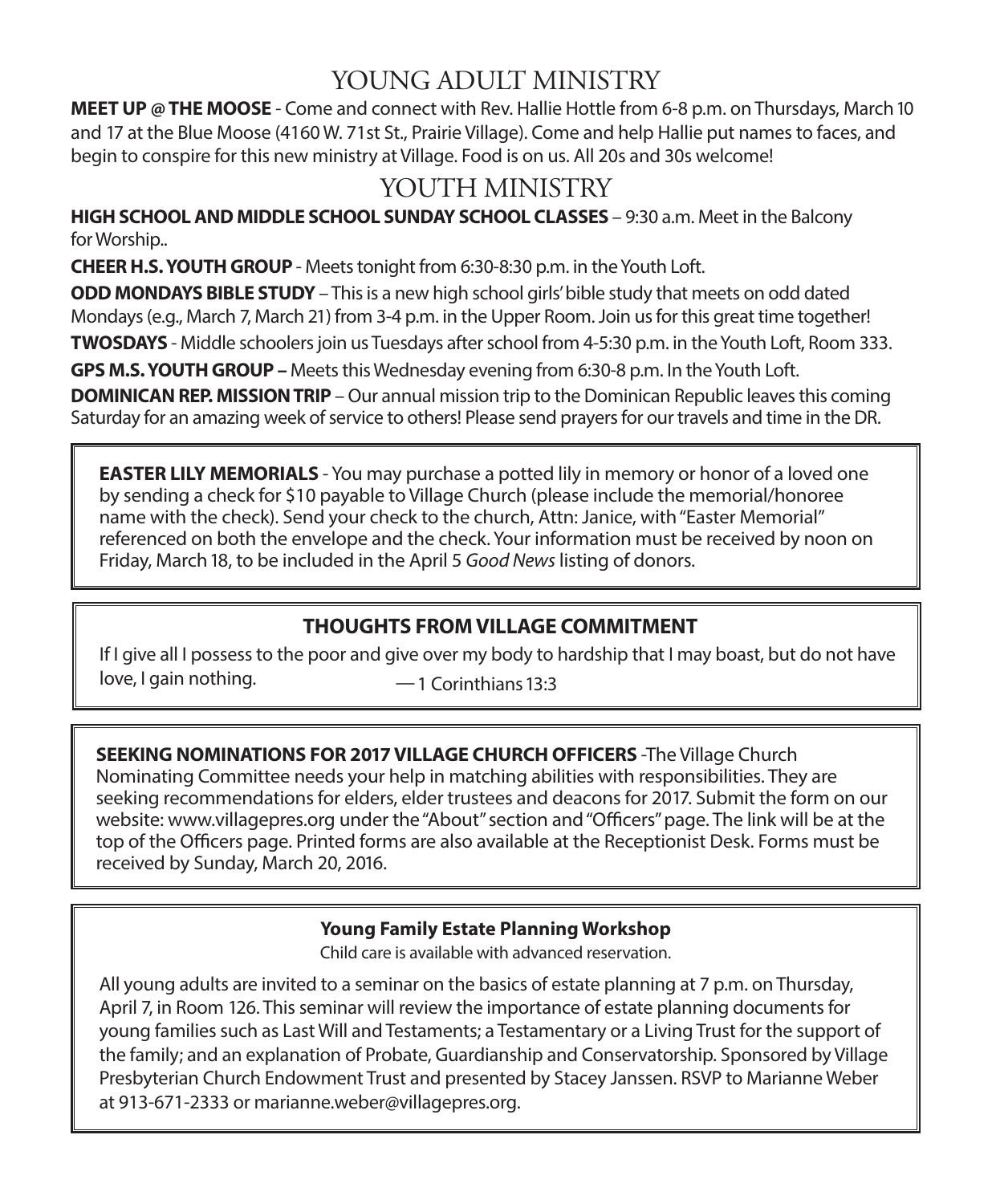## YOUNG ADULT MINISTRY

**MEET UP @ THE MOOSE** - Come and connect with Rev. Hallie Hottle from 6-8 p.m. on Thursdays, March 10 and 17 at the Blue Moose (4160 W. 71st St., Prairie Village). Come and help Hallie put names to faces, and begin to conspire for this new ministry at Village. Food is on us. All 20s and 30s welcome!

## YOUTH MINISTRY

**HIGH SCHOOL AND MIDDLE SCHOOL SUNDAY SCHOOL CLASSES** – 9:30 a.m. Meet in the Balcony for Worship..

**CHEER H.S. YOUTH GROUP** - Meets tonight from 6:30-8:30 p.m. in the Youth Loft.

**ODD MONDAYS BIBLE STUDY** – This is a new high school girls' bible study that meets on odd dated Mondays (e.g., March 7, March 21) from 3-4 p.m. in the Upper Room. Join us for this great time together! **TWOSDAYS** - Middle schoolers join us Tuesdays after school from 4-5:30 p.m. in the Youth Loft, Room 333.

**GPS M.S. YOUTH GROUP –** Meets this Wednesday evening from 6:30-8 p.m. In the Youth Loft.

**DOMINICAN REP. MISSION TRIP** – Our annual mission trip to the Dominican Republic leaves this coming Saturday for an amazing week of service to others! Please send prayers for our travels and time in the DR.

**EASTER LILY MEMORIALS** - You may purchase a potted lily in memory or honor of a loved one by sending a check for \$10 payable to Village Church (please include the memorial/honoree name with the check). Send your check to the church, Attn: Janice, with "Easter Memorial" referenced on both the envelope and the check. Your information must be received by noon on Friday, March 18, to be included in the April 5 *Good News* listing of donors.

### **THOUGHTS FROM VILLAGE COMMITMENT**

If I give all I possess to the poor and give over my body to hardship that I may boast, but do not have  $love, I gain nothing.  $\longrightarrow$  1 Corinthians 13:3$ 

**SEEKING NOMINATIONS FOR 2017 VILLAGE CHURCH OFFICERS** -The Village Church Nominating Committee needs your help in matching abilities with responsibilities. They are seeking recommendations for elders, elder trustees and deacons for 2017. Submit the form on our website: www.villagepres.org under the "About" section and "Officers" page. The link will be at the top of the Officers page. Printed forms are also available at the Receptionist Desk. Forms must be received by Sunday, March 20, 2016.

### **Young Family Estate Planning Workshop**

Child care is available with advanced reservation.

All young adults are invited to a seminar on the basics of estate planning at 7 p.m. on Thursday, April 7, in Room 126. This seminar will review the importance of estate planning documents for young families such as Last Will and Testaments; a Testamentary or a Living Trust for the support of the family; and an explanation of Probate, Guardianship and Conservatorship. Sponsored by Village Presbyterian Church Endowment Trust and presented by Stacey Janssen. RSVP to Marianne Weber at 913-671-2333 or marianne.weber@villagepres.org.